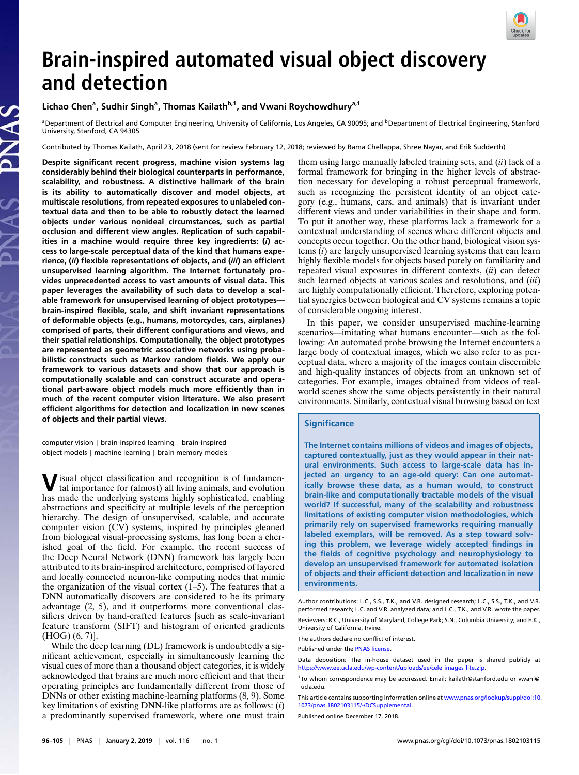

# **Brain-inspired automated visual object discovery and detection**

# **Lichao Chen<sup>a</sup> , Sudhir Singh<sup>a</sup> , Thomas Kailathb,1, and Vwani Roychowdhurya,1**

aDepartment of Electrical and Computer Engineering, University of California, Los Angeles, CA 90095; and <sup>b</sup>Department of Electrical Engineering, Stanford University, Stanford, CA 94305

Contributed by Thomas Kailath, April 23, 2018 (sent for review February 12, 2018; reviewed by Rama Chellappa, Shree Nayar, and Erik Sudderth)

**Despite significant recent progress, machine vision systems lag considerably behind their biological counterparts in performance, scalability, and robustness. A distinctive hallmark of the brain is its ability to automatically discover and model objects, at multiscale resolutions, from repeated exposures to unlabeled contextual data and then to be able to robustly detect the learned objects under various nonideal circumstances, such as partial occlusion and different view angles. Replication of such capabilities in a machine would require three key ingredients: (***i***) access to large-scale perceptual data of the kind that humans experience, (***ii***) flexible representations of objects, and (***iii***) an efficient unsupervised learning algorithm. The Internet fortunately provides unprecedented access to vast amounts of visual data. This paper leverages the availability of such data to develop a scalable framework for unsupervised learning of object prototypes brain-inspired flexible, scale, and shift invariant representations of deformable objects (e.g., humans, motorcycles, cars, airplanes) comprised of parts, their different configurations and views, and their spatial relationships. Computationally, the object prototypes are represented as geometric associative networks using probabilistic constructs such as Markov random fields. We apply our framework to various datasets and show that our approach is computationally scalable and can construct accurate and operational part-aware object models much more efficiently than in much of the recent computer vision literature. We also present efficient algorithms for detection and localization in new scenes of objects and their partial views.**

computer vision | brain-inspired learning | brain-inspired object models | machine learning | brain memory models

**V** isual object classification and recognition is of fundamental importance for (almost) all living animals, and evolution has made the underlying systems highly sophisticated, enabling isual object classification and recognition is of fundamental importance for (almost) all living animals, and evolution abstractions and specificity at multiple levels of the perception hierarchy. The design of unsupervised, scalable, and accurate computer vision (CV) systems, inspired by principles gleaned from biological visual-processing systems, has long been a cherished goal of the field. For example, the recent success of the Deep Neural Network (DNN) framework has largely been attributed to its brain-inspired architecture, comprised of layered and locally connected neuron-like computing nodes that mimic the organization of the visual cortex  $(1-5)$ . The features that a DNN automatically discovers are considered to be its primary advantage (2, 5), and it outperforms more conventional classifiers driven by hand-crafted features [such as scale-invariant feature transform (SIFT) and histogram of oriented gradients (HOG) (6, 7)].

While the deep learning (DL) framework is undoubtedly a significant achievement, especially in simultaneously learning the visual cues of more than a thousand object categories, it is widely acknowledged that brains are much more efficient and that their operating principles are fundamentally different from those of DNNs or other existing machine-learning platforms (8, 9). Some key limitations of existing DNN-like platforms are as follows: (*i*) a predominantly supervised framework, where one must train them using large manually labeled training sets, and (*ii*) lack of a formal framework for bringing in the higher levels of abstraction necessary for developing a robust perceptual framework, such as recognizing the persistent identity of an object category (e.g., humans, cars, and animals) that is invariant under different views and under variabilities in their shape and form. To put it another way, these platforms lack a framework for a contextual understanding of scenes where different objects and concepts occur together. On the other hand, biological vision systems (*i*) are largely unsupervised learning systems that can learn highly flexible models for objects based purely on familiarity and repeated visual exposures in different contexts, (*ii*) can detect such learned objects at various scales and resolutions, and (*iii*) are highly computationally efficient. Therefore, exploring potential synergies between biological and CV systems remains a topic of considerable ongoing interest.

In this paper, we consider unsupervised machine-learning scenarios—imitating what humans encounter—such as the following: An automated probe browsing the Internet encounters a large body of contextual images, which we also refer to as perceptual data, where a majority of the images contain discernible and high-quality instances of objects from an unknown set of categories. For example, images obtained from videos of realworld scenes show the same objects persistently in their natural environments. Similarly, contextual visual browsing based on text

# **Significance**

**The Internet contains millions of videos and images of objects, captured contextually, just as they would appear in their natural environments. Such access to large-scale data has injected an urgency to an age-old query: Can one automatically browse these data, as a human would, to construct brain-like and computationally tractable models of the visual world? If successful, many of the scalability and robustness limitations of existing computer vision methodologies, which primarily rely on supervised frameworks requiring manually labeled exemplars, will be removed. As a step toward solving this problem, we leverage widely accepted findings in the fields of cognitive psychology and neurophysiology to develop an unsupervised framework for automated isolation of objects and their efficient detection and localization in new environments.**

Author contributions: L.C., S.S., T.K., and V.R. designed research; L.C., S.S., T.K., and V.R. performed research; L.C. and V.R. analyzed data; and L.C., T.K., and V.R. wrote the paper. Reviewers: R.C., University of Maryland, College Park; S.N., Columbia University; and E.K., University of California, Irvine.

The authors declare no conflict of interest.

Published under the [PNAS license.](https://www.pnas.org/site/aboutpnas/licenses.xhtml)

This article contains supporting information online at [www.pnas.org/lookup/suppl/doi:10.](https://www.pnas.org/lookup/suppl/doi:10.1073/pnas.1802103115/-/DCSupplemental) [1073/pnas.1802103115/-/DCSupplemental.](https://www.pnas.org/lookup/suppl/doi:10.1073/pnas.1802103115/-/DCSupplemental)y

Published online December 17, 2018.

Data deposition: The in-house dataset used in the paper is shared publicly at [https://www.ee.ucla.edu/wp-content/uploads/ee/cele](https://www.ee.ucla.edu/wp-content/uploads/ee/cele_images_lite.zip)\_images\_lite.zip.

<sup>&</sup>lt;sup>1</sup> To whom correspondence may be addressed. Email: [kailath@stanford.edu](mailto:kailath@stanford.edu) or [vwani@](mailto:vwani@ucla.edu) [ucla.edu.](mailto:vwani@ucla.edu)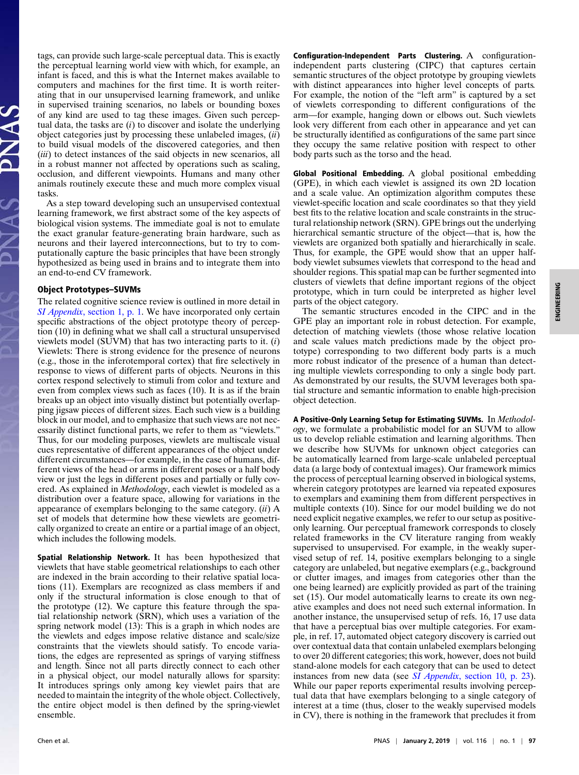tags, can provide such large-scale perceptual data. This is exactly the perceptual learning world view with which, for example, an infant is faced, and this is what the Internet makes available to computers and machines for the first time. It is worth reiterating that in our unsupervised learning framework, and unlike in supervised training scenarios, no labels or bounding boxes of any kind are used to tag these images. Given such perceptual data, the tasks are (*i*) to discover and isolate the underlying object categories just by processing these unlabeled images, (*ii*) to build visual models of the discovered categories, and then (*iii*) to detect instances of the said objects in new scenarios, all in a robust manner not affected by operations such as scaling, occlusion, and different viewpoints. Humans and many other animals routinely execute these and much more complex visual tasks.

As a step toward developing such an unsupervised contextual learning framework, we first abstract some of the key aspects of biological vision systems. The immediate goal is not to emulate the exact granular feature-generating brain hardware, such as neurons and their layered interconnections, but to try to computationally capture the basic principles that have been strongly hypothesized as being used in brains and to integrate them into an end-to-end CV framework.

## Object Prototypes–SUVMs

The related cognitive science review is outlined in more detail in *SI Appendix*[, section 1, p. 1.](https://www.pnas.org/lookup/suppl/doi:10.1073/pnas.1802103115/-/DCSupplemental) We have incorporated only certain specific abstractions of the object prototype theory of perception (10) in defining what we shall call a structural unsupervised viewlets model (SUVM) that has two interacting parts to it. (*i*) Viewlets: There is strong evidence for the presence of neurons (e.g., those in the inferotemporal cortex) that fire selectively in response to views of different parts of objects. Neurons in this cortex respond selectively to stimuli from color and texture and even from complex views such as faces (10). It is as if the brain breaks up an object into visually distinct but potentially overlapping jigsaw pieces of different sizes. Each such view is a building block in our model, and to emphasize that such views are not necessarily distinct functional parts, we refer to them as "viewlets." Thus, for our modeling purposes, viewlets are multiscale visual cues representative of different appearances of the object under different circumstances—for example, in the case of humans, different views of the head or arms in different poses or a half body view or just the legs in different poses and partially or fully covered. As explained in *Methodology*, each viewlet is modeled as a distribution over a feature space, allowing for variations in the appearance of exemplars belonging to the same category. (*ii*) A set of models that determine how these viewlets are geometrically organized to create an entire or a partial image of an object, which includes the following models.

Spatial Relationship Network. It has been hypothesized that viewlets that have stable geometrical relationships to each other are indexed in the brain according to their relative spatial locations (11). Exemplars are recognized as class members if and only if the structural information is close enough to that of the prototype (12). We capture this feature through the spatial relationship network (SRN), which uses a variation of the spring network model (13): This is a graph in which nodes are the viewlets and edges impose relative distance and scale/size constraints that the viewlets should satisfy. To encode variations, the edges are represented as springs of varying stiffness and length. Since not all parts directly connect to each other in a physical object, our model naturally allows for sparsity: It introduces springs only among key viewlet pairs that are needed to maintain the integrity of the whole object. Collectively, the entire object model is then defined by the spring-viewlet ensemble.

Configuration-Independent Parts Clustering. A configurationindependent parts clustering (CIPC) that captures certain semantic structures of the object prototype by grouping viewlets with distinct appearances into higher level concepts of parts*.* For example, the notion of the "left arm" is captured by a set of viewlets corresponding to different configurations of the arm—for example, hanging down or elbows out. Such viewlets look very different from each other in appearance and yet can be structurally identified as configurations of the same part since they occupy the same relative position with respect to other body parts such as the torso and the head.

Global Positional Embedding. A global positional embedding (GPE), in which each viewlet is assigned its own 2D location and a scale value. An optimization algorithm computes these viewlet-specific location and scale coordinates so that they yield best fits to the relative location and scale constraints in the structural relationship network (SRN). GPE brings out the underlying hierarchical semantic structure of the object—that is, how the viewlets are organized both spatially and hierarchically in scale. Thus, for example, the GPE would show that an upper halfbody viewlet subsumes viewlets that correspond to the head and shoulder regions. This spatial map can be further segmented into clusters of viewlets that define important regions of the object prototype, which in turn could be interpreted as higher level parts of the object category.

The semantic structures encoded in the CIPC and in the GPE play an important role in robust detection. For example, detection of matching viewlets (those whose relative location and scale values match predictions made by the object prototype) corresponding to two different body parts is a much more robust indicator of the presence of a human than detecting multiple viewlets corresponding to only a single body part. As demonstrated by our results, the SUVM leverages both spatial structure and semantic information to enable high-precision object detection.

A Positive-Only Learning Setup for Estimating SUVMs. In *Methodology*, we formulate a probabilistic model for an SUVM to allow us to develop reliable estimation and learning algorithms. Then we describe how SUVMs for unknown object categories can be automatically learned from large-scale unlabeled perceptual data (a large body of contextual images). Our framework mimics the process of perceptual learning observed in biological systems, wherein category prototypes are learned via repeated exposures to exemplars and examining them from different perspectives in multiple contexts (10). Since for our model building we do not need explicit negative examples, we refer to our setup as positiveonly learning. Our perceptual framework corresponds to closely related frameworks in the CV literature ranging from weakly supervised to unsupervised. For example, in the weakly supervised setup of ref. 14, positive exemplars belonging to a single category are unlabeled, but negative exemplars (e.g., background or clutter images, and images from categories other than the one being learned) are explicitly provided as part of the training set (15). Our model automatically learns to create its own negative examples and does not need such external information. In another instance, the unsupervised setup of refs. 16, 17 use data that have a perceptual bias over multiple categories. For example, in ref. 17, automated object category discovery is carried out over contextual data that contain unlabeled exemplars belonging to over 20 different categories; this work, however, does not build stand-alone models for each category that can be used to detect instances from new data (see *SI Appendix*[, section 10, p. 23\)](https://www.pnas.org/lookup/suppl/doi:10.1073/pnas.1802103115/-/DCSupplemental). While our paper reports experimental results involving perceptual data that have exemplars belonging to a single category of interest at a time (thus, closer to the weakly supervised models in CV), there is nothing in the framework that precludes it from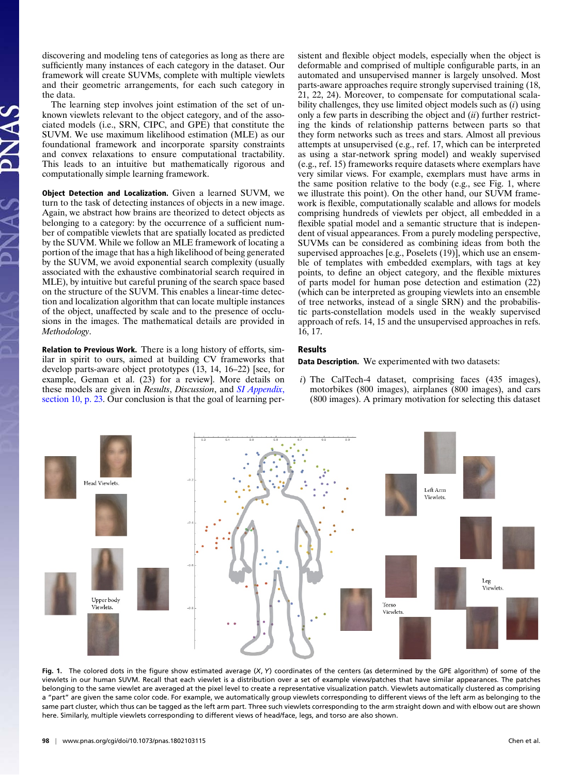discovering and modeling tens of categories as long as there are sufficiently many instances of each category in the dataset. Our framework will create SUVMs, complete with multiple viewlets and their geometric arrangements, for each such category in the data.

The learning step involves joint estimation of the set of unknown viewlets relevant to the object category, and of the associated models (i.e., SRN, CIPC, and GPE) that constitute the SUVM. We use maximum likelihood estimation (MLE) as our foundational framework and incorporate sparsity constraints and convex relaxations to ensure computational tractability. This leads to an intuitive but mathematically rigorous and computationally simple learning framework.

Object Detection and Localization. Given a learned SUVM, we turn to the task of detecting instances of objects in a new image. Again, we abstract how brains are theorized to detect objects as belonging to a category: by the occurrence of a sufficient number of compatible viewlets that are spatially located as predicted by the SUVM. While we follow an MLE framework of locating a portion of the image that has a high likelihood of being generated by the SUVM, we avoid exponential search complexity (usually associated with the exhaustive combinatorial search required in MLE), by intuitive but careful pruning of the search space based on the structure of the SUVM. This enables a linear-time detection and localization algorithm that can locate multiple instances of the object, unaffected by scale and to the presence of occlusions in the images. The mathematical details are provided in *Methodology*.

Relation to Previous Work. There is a long history of efforts, similar in spirit to ours, aimed at building CV frameworks that develop parts-aware object prototypes (13, 14, 16–22) [see, for example, Geman et al. (23) for a review]. More details on these models are given in *Results*, *Discussion*, and *[SI Appendix](https://www.pnas.org/lookup/suppl/doi:10.1073/pnas.1802103115/-/DCSupplemental)*, [section 10, p. 23.](https://www.pnas.org/lookup/suppl/doi:10.1073/pnas.1802103115/-/DCSupplemental) Our conclusion is that the goal of learning persistent and flexible object models, especially when the object is deformable and comprised of multiple configurable parts, in an automated and unsupervised manner is largely unsolved. Most parts-aware approaches require strongly supervised training (18, 21, 22, 24). Moreover, to compensate for computational scalability challenges, they use limited object models such as (*i*) using only a few parts in describing the object and (*ii*) further restricting the kinds of relationship patterns between parts so that they form networks such as trees and stars. Almost all previous attempts at unsupervised (e.g., ref. 17, which can be interpreted as using a star-network spring model) and weakly supervised (e.g., ref. 15) frameworks require datasets where exemplars have very similar views. For example, exemplars must have arms in the same position relative to the body (e.g., see Fig. 1, where we illustrate this point). On the other hand, our SUVM framework is flexible, computationally scalable and allows for models comprising hundreds of viewlets per object, all embedded in a flexible spatial model and a semantic structure that is independent of visual appearances. From a purely modeling perspective, SUVMs can be considered as combining ideas from both the supervised approaches [e.g., Poselets (19)], which use an ensemble of templates with embedded exemplars, with tags at key points, to define an object category, and the flexible mixtures of parts model for human pose detection and estimation (22) (which can be interpreted as grouping viewlets into an ensemble of tree networks, instead of a single SRN) and the probabilistic parts-constellation models used in the weakly supervised approach of refs. 14, 15 and the unsupervised approaches in refs. 16, 17.

# Results

Data Description. We experimented with two datasets:

*i*) The CalTech-4 dataset, comprising faces (435 images), motorbikes (800 images), airplanes (800 images), and cars (800 images). A primary motivation for selecting this dataset



**Fig. 1.** The colored dots in the figure show estimated average (*X*, *Y*) coordinates of the centers (as determined by the GPE algorithm) of some of the viewlets in our human SUVM. Recall that each viewlet is a distribution over a set of example views/patches that have similar appearances. The patches belonging to the same viewlet are averaged at the pixel level to create a representative visualization patch. Viewlets automatically clustered as comprising a "part" are given the same color code. For example, we automatically group viewlets corresponding to different views of the left arm as belonging to the same part cluster, which thus can be tagged as the left arm part. Three such viewlets corresponding to the arm straight down and with elbow out are shown here. Similarly, multiple viewlets corresponding to different views of head/face, legs, and torso are also shown.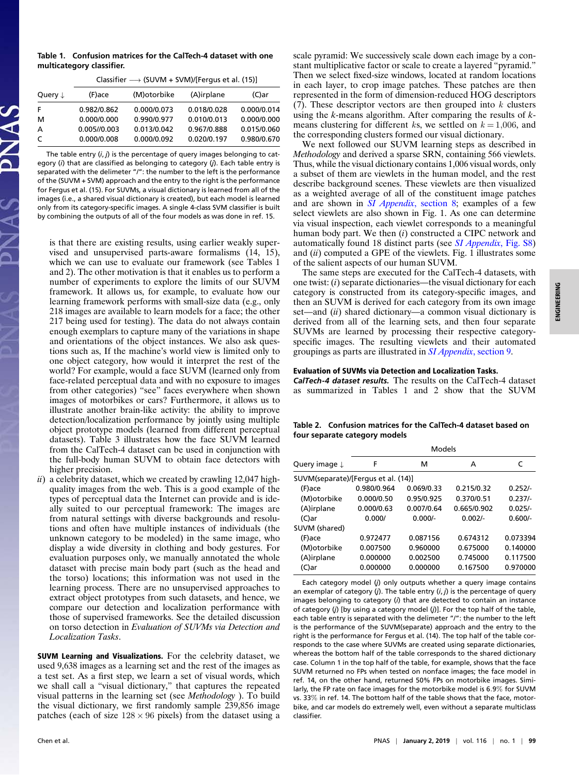**Table 1. Confusion matrices for the CalTech-4 dataset with one multicategory classifier.**

|                    | Classifier $\longrightarrow$ (SUVM + SVM)/[Fergus et al. (15)] |             |             |             |
|--------------------|----------------------------------------------------------------|-------------|-------------|-------------|
| Query $\downarrow$ | (F)ace                                                         | (M)otorbike | (A)irplane  | $(C)$ ar    |
| F                  | 0.982/0.862                                                    | 0.000/0.073 | 0.018/0.028 | 0.000/0.014 |
| м                  | 0.000/0.000                                                    | 0.990/0.977 | 0.010/0.013 | 0.000/0.000 |
| A                  | $0.005\frac{1}{0.003}$                                         | 0.013/0.042 | 0.967/0.888 | 0.015/0.060 |
| C                  | 0.000/0.008                                                    | 0.000/0.092 | 0.020/0.197 | 0.980/0.670 |

The table entry (*i*, *j*) is the percentage of query images belonging to category (*i*) that are classified as belonging to category (*j*). Each table entry is separated with the delimeter "/": the number to the left is the performance of the (SUVM + SVM) approach and the entry to the right is the performance for Fergus et al. (15). For SUVMs, a visual dictionary is learned from all of the images (i.e., a shared visual dictionary is created), but each model is learned only from its category-specific images. A single 4-class SVM classifier is built by combining the outputs of all of the four models as was done in ref. 15.

is that there are existing results, using earlier weakly supervised and unsupervised parts-aware formalisms (14, 15), which we can use to evaluate our framework (see Tables 1 and 2). The other motivation is that it enables us to perform a number of experiments to explore the limits of our SUVM framework. It allows us, for example, to evaluate how our learning framework performs with small-size data (e.g., only 218 images are available to learn models for a face; the other 217 being used for testing). The data do not always contain enough exemplars to capture many of the variations in shape and orientations of the object instances. We also ask questions such as, If the machine's world view is limited only to one object category, how would it interpret the rest of the world? For example, would a face SUVM (learned only from face-related perceptual data and with no exposure to images from other categories) "see" faces everywhere when shown images of motorbikes or cars? Furthermore, it allows us to illustrate another brain-like activity: the ability to improve detection/localization performance by jointly using multiple object prototype models (learned from different perceptual datasets). Table 3 illustrates how the face SUVM learned from the CalTech-4 dataset can be used in conjunction with the full-body human SUVM to obtain face detectors with higher precision.

*ii*) a celebrity dataset, which we created by crawling 12,047 highquality images from the web. This is a good example of the types of perceptual data the Internet can provide and is ideally suited to our perceptual framework: The images are from natural settings with diverse backgrounds and resolutions and often have multiple instances of individuals (the unknown category to be modeled) in the same image, who display a wide diversity in clothing and body gestures. For evaluation purposes only, we manually annotated the whole dataset with precise main body part (such as the head and the torso) locations; this information was not used in the learning process. There are no unsupervised approaches to extract object prototypes from such datasets, and hence, we compare our detection and localization performance with those of supervised frameworks. See the detailed discussion on torso detection in *Evaluation of SUVMs via Detection and Localization Tasks*.

SUVM Learning and Visualizations. For the celebrity dataset, we used 9,638 images as a learning set and the rest of the images as a test set. As a first step, we learn a set of visual words, which we shall call a "visual dictionary," that captures the repeated visual patterns in the learning set (see *Methodology* ). To build the visual dictionary, we first randomly sample 239,856 image patches (each of size  $128 \times 96$  pixels) from the dataset using a

scale pyramid: We successively scale down each image by a constant multiplicative factor or scale to create a layered "pyramid." Then we select fixed-size windows, located at random locations in each layer, to crop image patches. These patches are then represented in the form of dimension-reduced HOG descriptors (7). These descriptor vectors are then grouped into  $k$  clusters using the *k*-means algorithm. After comparing the results of *k*means clustering for different ks, we settled on  $k = 1,006$ , and the corresponding clusters formed our visual dictionary.

We next followed our SUVM learning steps as described in *Methodology* and derived a sparse SRN, containing 566 viewlets. Thus, while the visual dictionary contains 1,006 visual words, only a subset of them are viewlets in the human model, and the rest describe background scenes. These viewlets are then visualized as a weighted average of all of the constituent image patches and are shown in *[SI Appendix](https://www.pnas.org/lookup/suppl/doi:10.1073/pnas.1802103115/-/DCSupplemental)*, section 8; examples of a few select viewlets are also shown in Fig. 1. As one can determine via visual inspection, each viewlet corresponds to a meaningful human body part. We then (*i*) constructed a CIPC network and automatically found 18 distinct parts (see *[SI Appendix](https://www.pnas.org/lookup/suppl/doi:10.1073/pnas.1802103115/-/DCSupplemental)*, Fig. S8) and (*ii*) computed a GPE of the viewlets. Fig. 1 illustrates some of the salient aspects of our human SUVM.

The same steps are executed for the CalTech-4 datasets, with one twist: (*i*) separate dictionaries—the visual dictionary for each category is constructed from its category-specific images, and then an SUVM is derived for each category from its own image set—and (*ii*) shared dictionary—a common visual dictionary is derived from all of the learning sets, and then four separate SUVMs are learned by processing their respective categoryspecific images. The resulting viewlets and their automated groupings as parts are illustrated in *[SI Appendix](https://www.pnas.org/lookup/suppl/doi:10.1073/pnas.1802103115/-/DCSupplemental)*, section 9.

#### Evaluation of SUVMs via Detection and Localization Tasks.

*CalTech-4 dataset results.* The results on the CalTech-4 dataset as summarized in Tables 1 and 2 show that the SUVM

**Table 2. Confusion matrices for the CalTech-4 dataset based on four separate category models**

|                                     | Models      |            |             |           |  |
|-------------------------------------|-------------|------------|-------------|-----------|--|
| Query image $\downarrow$            | F           | м          | А           | C         |  |
| SUVM(separate)/[Fergus et al. (14)] |             |            |             |           |  |
| (F)ace                              | 0.980/0.964 | 0.069/0.33 | 0.215/0.32  | $0.252/-$ |  |
| (M)otorbike                         | 0.000/0.50  | 0.95/0.925 | 0.370/0.51  | $0.237/-$ |  |
| (A)irplane                          | 0.000/0.63  | 0.007/0.64 | 0.665/0.902 | $0.025/-$ |  |
| $(C)$ ar                            | 0.000/      | $0.000/-$  | $0.002/-$   | $0.600/-$ |  |
| SUVM (shared)                       |             |            |             |           |  |
| (F)ace                              | 0.972477    | 0.087156   | 0.674312    | 0.073394  |  |
| (M)otorbike                         | 0.007500    | 0.960000   | 0.675000    | 0.140000  |  |
| (A)irplane                          | 0.000000    | 0.002500   | 0.745000    | 0.117500  |  |
| (C)ar                               | 0.000000    | 0.000000   | 0.167500    | 0.970000  |  |

Each category model (*j*) only outputs whether a query image contains an exemplar of category (*j*). The table entry (*i*, *j*) is the percentage of query images belonging to category (*i*) that are detected to contain an instance of category (*j*) [by using a category model (*j*)]. For the top half of the table, each table entry is separated with the delimeter "/": the number to the left is the performance of the SUVM(separate) approach and the entry to the right is the performance for Fergus et al. (14). The top half of the table corresponds to the case where SUVMs are created using separate dictionaries, whereas the bottom half of the table corresponds to the shared dictionary case. Column 1 in the top half of the table, for example, shows that the face SUVM returned no FPs when tested on nonface images; the face model in ref. 14, on the other hand, returned 50% FPs on motorbike images. Similarly, the FP rate on face images for the motorbike model is 6.9% for SUVM vs. 33% in ref. 14. The bottom half of the table shows that the face, motorbike, and car models do extremely well, even without a separate multiclass classifier.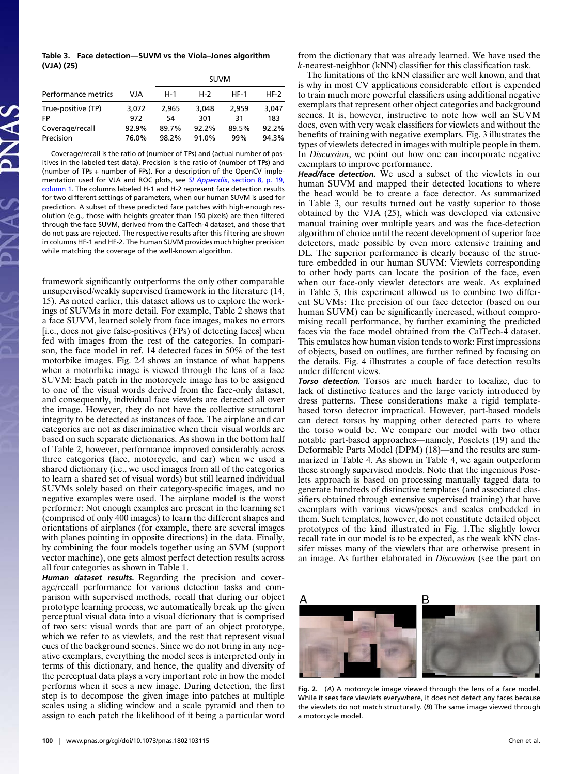|            | Table 3. Face detection-SUVM vs the Viola-Jones algorithm |
|------------|-----------------------------------------------------------|
| (VJA) (25) |                                                           |

|                     |       | <b>SUVM</b> |       |        |             |
|---------------------|-------|-------------|-------|--------|-------------|
| Performance metrics | VJA   | H-1         | H-2   | $HF-1$ | <b>HF-2</b> |
| True-positive (TP)  | 3.072 | 2,965       | 3.048 | 2.959  | 3,047       |
| FP                  | 972   | 54          | 301   | 31     | 183         |
| Coverage/recall     | 92.9% | 89.7%       | 92.2% | 89.5%  | 92.2%       |
| Precision           | 76.0% | 98.2%       | 91.0% | 99%    | 94.3%       |

Coverage/recall is the ratio of (number of TPs) and (actual number of positives in the labeled test data). Precision is the ratio of (number of TPs) and (number of TPs + number of FPs). For a description of the OpenCV implementation used for VJA and ROC plots, see *SI Appendix*[, section 8, p. 19,](https://www.pnas.org/lookup/suppl/doi:10.1073/pnas.1802103115/-/DCSupplemental) [column 1.](https://www.pnas.org/lookup/suppl/doi:10.1073/pnas.1802103115/-/DCSupplemental) The columns labeled H-1 and H-2 represent face detection results for two different settings of parameters, when our human SUVM is used for prediction. A subset of these predicted face patches with high-enough resolution (e.g., those with heights greater than 150 pixels) are then filtered through the face SUVM, derived from the CalTech-4 dataset, and those that do not pass are rejected. The respective results after this filtering are shown in columns HF-1 and HF-2. The human SUVM provides much higher precision while matching the coverage of the well-known algorithm.

framework significantly outperforms the only other comparable unsupervised/weakly supervised framework in the literature (14, 15). As noted earlier, this dataset allows us to explore the workings of SUVMs in more detail. For example, Table 2 shows that a face SUVM, learned solely from face images, makes no errors [i.e., does not give false-positives (FPs) of detecting faces] when fed with images from the rest of the categories. In comparison, the face model in ref. 14 detected faces in 50% of the test motorbike images. Fig. 2*A* shows an instance of what happens when a motorbike image is viewed through the lens of a face SUVM: Each patch in the motorcycle image has to be assigned to one of the visual words derived from the face-only dataset, and consequently, individual face viewlets are detected all over the image. However, they do not have the collective structural integrity to be detected as instances of face*.* The airplane and car categories are not as discriminative when their visual worlds are based on such separate dictionaries. As shown in the bottom half of Table 2, however, performance improved considerably across three categories (face, motorcycle, and car) when we used a shared dictionary (i.e., we used images from all of the categories to learn a shared set of visual words) but still learned individual SUVMs solely based on their category-specific images, and no negative examples were used. The airplane model is the worst performer: Not enough examples are present in the learning set (comprised of only 400 images) to learn the different shapes and orientations of airplanes (for example, there are several images with planes pointing in opposite directions) in the data. Finally, by combining the four models together using an SVM (support vector machine), one gets almost perfect detection results across all four categories as shown in Table 1.

*Human dataset results.* Regarding the precision and coverage/recall performance for various detection tasks and comparison with supervised methods, recall that during our object prototype learning process, we automatically break up the given perceptual visual data into a visual dictionary that is comprised of two sets: visual words that are part of an object prototype, which we refer to as viewlets, and the rest that represent visual cues of the background scenes. Since we do not bring in any negative exemplars, everything the model sees is interpreted only in terms of this dictionary, and hence, the quality and diversity of the perceptual data plays a very important role in how the model performs when it sees a new image. During detection, the first step is to decompose the given image into patches at multiple scales using a sliding window and a scale pyramid and then to assign to each patch the likelihood of it being a particular word from the dictionary that was already learned. We have used the *k*-nearest-neighbor (kNN) classifier for this classification task.

The limitations of the kNN classifier are well known, and that is why in most CV applications considerable effort is expended to train much more powerful classifiers using additional negative exemplars that represent other object categories and background scenes. It is, however, instructive to note how well an SUVM does, even with very weak classifiers for viewlets and without the benefits of training with negative exemplars. Fig. 3 illustrates the types of viewlets detected in images with multiple people in them. In *Discussion*, we point out how one can incorporate negative exemplars to improve performance.

*Head/face detection.* We used a subset of the viewlets in our human SUVM and mapped their detected locations to where the head would be to create a face detector. As summarized in Table 3, our results turned out be vastly superior to those obtained by the VJA (25), which was developed via extensive manual training over multiple years and was the face-detection algorithm of choice until the recent development of superior face detectors, made possible by even more extensive training and DL. The superior performance is clearly because of the structure embedded in our human SUVM: Viewlets corresponding to other body parts can locate the position of the face, even when our face-only viewlet detectors are weak. As explained in Table 3, this experiment allowed us to combine two different SUVMs: The precision of our face detector (based on our human SUVM) can be significantly increased, without compromising recall performance, by further examining the predicted faces via the face model obtained from the CalTech-4 dataset. This emulates how human vision tends to work: First impressions of objects, based on outlines, are further refined by focusing on the details. Fig. 4 illustrates a couple of face detection results under different views.

*Torso detection.* Torsos are much harder to localize, due to lack of distinctive features and the large variety introduced by dress patterns. These considerations make a rigid templatebased torso detector impractical. However, part-based models can detect torsos by mapping other detected parts to where the torso would be. We compare our model with two other notable part-based approaches—namely, Poselets (19) and the Deformable Parts Model (DPM) (18)—and the results are summarized in Table 4. As shown in Table 4, we again outperform these strongly supervised models. Note that the ingenious Poselets approach is based on processing manually tagged data to generate hundreds of distinctive templates (and associated classifiers obtained through extensive supervised training) that have exemplars with various views/poses and scales embedded in them. Such templates, however, do not constitute detailed object prototypes of the kind illustrated in Fig. 1.The slightly lower recall rate in our model is to be expected, as the weak kNN classifer misses many of the viewlets that are otherwise present in an image. As further elaborated in *Discussion* (see the part on



**Fig. 2.** (*A*) A motorcycle image viewed through the lens of a face model. While it sees face viewlets everywhere, it does not detect any faces because the viewlets do not match structurally. (*B*) The same image viewed through a motorcycle model.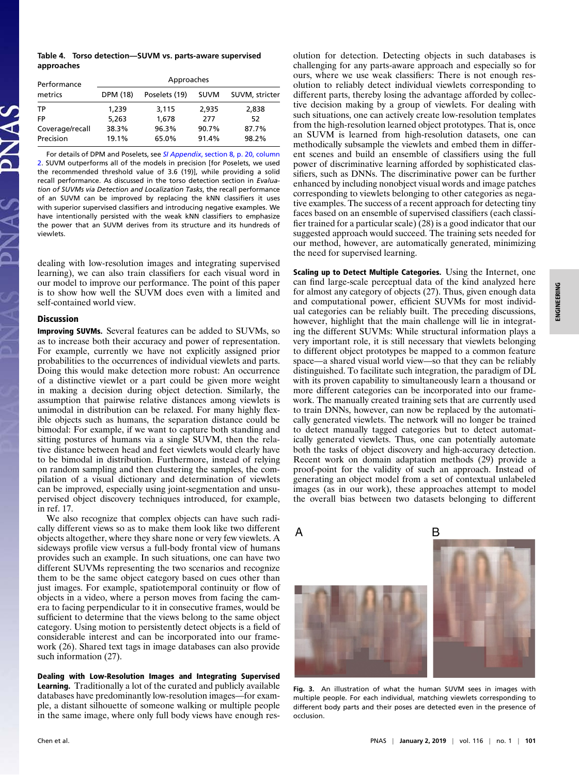|            | Table 4. Torso detection-SUVM vs. parts-aware supervised |
|------------|----------------------------------------------------------|
| approaches |                                                          |

| Performance     | Approaches      |               |             |                |
|-----------------|-----------------|---------------|-------------|----------------|
| metrics         | <b>DPM (18)</b> | Poselets (19) | <b>SUVM</b> | SUVM, stricter |
| ТP              | 1.239           | 3,115         | 2,935       | 2,838          |
| FP              | 5.263           | 1,678         | 277         | 52             |
| Coverage/recall | 38.3%           | 96.3%         | 90.7%       | 87.7%          |
| Precision       | 19.1%           | 65.0%         | 91.4%       | 98.2%          |

For details of DPM and Poselets, see *SI Appendix*[, section 8, p. 20, column](https://www.pnas.org/lookup/suppl/doi:10.1073/pnas.1802103115/-/DCSupplemental) [2.](https://www.pnas.org/lookup/suppl/doi:10.1073/pnas.1802103115/-/DCSupplemental) SUVM outperforms all of the models in precision [for Poselets, we used the recommended threshold value of 3.6 (19)], while providing a solid recall performance. As discussed in the torso detection section in *Evaluation of SUVMs via Detection and Localization Tasks*, the recall performance of an SUVM can be improved by replacing the kNN classifiers it uses with superior supervised classifiers and introducing negative examples. We have intentionally persisted with the weak kNN classifiers to emphasize the power that an SUVM derives from its structure and its hundreds of viewlets.

dealing with low-resolution images and integrating supervised learning), we can also train classifiers for each visual word in our model to improve our performance. The point of this paper is to show how well the SUVM does even with a limited and self-contained world view.

## **Discussion**

Improving SUVMs. Several features can be added to SUVMs, so as to increase both their accuracy and power of representation. For example, currently we have not explicitly assigned prior probabilities to the occurrences of individual viewlets and parts. Doing this would make detection more robust: An occurrence of a distinctive viewlet or a part could be given more weight in making a decision during object detection. Similarly, the assumption that pairwise relative distances among viewlets is unimodal in distribution can be relaxed. For many highly flexible objects such as humans, the separation distance could be bimodal: For example, if we want to capture both standing and sitting postures of humans via a single SUVM, then the relative distance between head and feet viewlets would clearly have to be bimodal in distribution. Furthermore, instead of relying on random sampling and then clustering the samples, the compilation of a visual dictionary and determination of viewlets can be improved, especially using joint-segmentation and unsupervised object discovery techniques introduced, for example, in ref. 17.

We also recognize that complex objects can have such radically different views so as to make them look like two different objects altogether, where they share none or very few viewlets. A sideways profile view versus a full-body frontal view of humans provides such an example. In such situations, one can have two different SUVMs representing the two scenarios and recognize them to be the same object category based on cues other than just images. For example, spatiotemporal continuity or flow of objects in a video, where a person moves from facing the camera to facing perpendicular to it in consecutive frames, would be sufficient to determine that the views belong to the same object category. Using motion to persistently detect objects is a field of considerable interest and can be incorporated into our framework (26). Shared text tags in image databases can also provide such information (27).

Dealing with Low-Resolution Images and Integrating Supervised Learning. Traditionally a lot of the curated and publicly available databases have predominantly low-resolution images—for example, a distant silhouette of someone walking or multiple people in the same image, where only full body views have enough res-

olution for detection. Detecting objects in such databases is challenging for any parts-aware approach and especially so for ours, where we use weak classifiers: There is not enough resolution to reliably detect individual viewlets corresponding to different parts, thereby losing the advantage afforded by collective decision making by a group of viewlets. For dealing with such situations, one can actively create low-resolution templates from the high-resolution learned object prototypes. That is, once an SUVM is learned from high-resolution datasets, one can methodically subsample the viewlets and embed them in different scenes and build an ensemble of classifiers using the full power of discriminative learning afforded by sophisticated classifiers, such as DNNs. The discriminative power can be further enhanced by including nonobject visual words and image patches corresponding to viewlets belonging to other categories as negative examples. The success of a recent approach for detecting tiny faces based on an ensemble of supervised classifiers (each classifier trained for a particular scale) (28) is a good indicator that our suggested approach would succeed. The training sets needed for our method, however, are automatically generated, minimizing the need for supervised learning.

Scaling up to Detect Multiple Categories. Using the Internet, one can find large-scale perceptual data of the kind analyzed here for almost any category of objects (27). Thus, given enough data and computational power, efficient SUVMs for most individual categories can be reliably built. The preceding discussions, however, highlight that the main challenge will lie in integrating the different SUVMs: While structural information plays a very important role, it is still necessary that viewlets belonging to different object prototypes be mapped to a common feature space—a shared visual world view—so that they can be reliably distinguished. To facilitate such integration, the paradigm of DL with its proven capability to simultaneously learn a thousand or more different categories can be incorporated into our framework. The manually created training sets that are currently used to train DNNs, however, can now be replaced by the automatically generated viewlets. The network will no longer be trained to detect manually tagged categories but to detect automatically generated viewlets. Thus, one can potentially automate both the tasks of object discovery and high-accuracy detection. Recent work on domain adaptation methods (29) provide a proof-point for the validity of such an approach. Instead of generating an object model from a set of contextual unlabeled images (as in our work), these approaches attempt to model the overall bias between two datasets belonging to different



**Fig. 3.** An illustration of what the human SUVM sees in images with multiple people. For each individual, matching viewlets corresponding to different body parts and their poses are detected even in the presence of occlusion.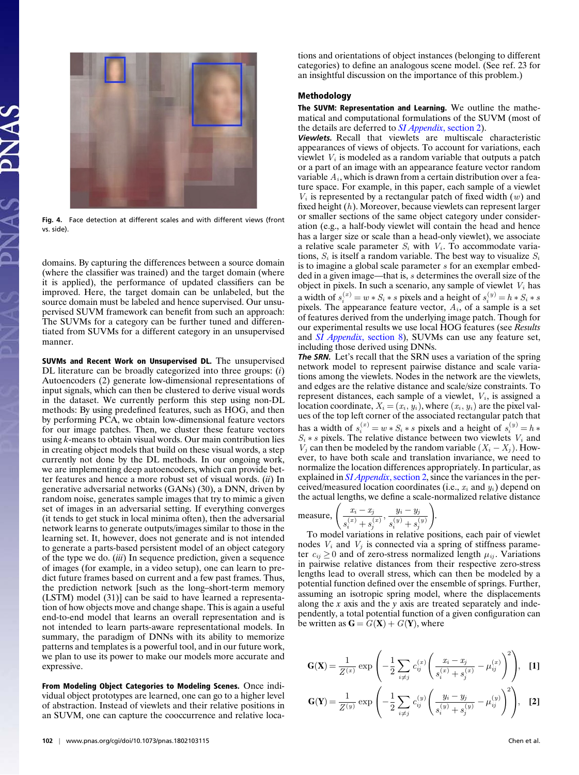

**Fig. 4.** Face detection at different scales and with different views (front vs. side).

domains. By capturing the differences between a source domain (where the classifier was trained) and the target domain (where it is applied), the performance of updated classifiers can be improved. Here, the target domain can be unlabeled, but the source domain must be labeled and hence supervised. Our unsupervised SUVM framework can benefit from such an approach: The SUVMs for a category can be further tuned and differentiated from SUVMs for a different category in an unsupervised manner.

SUVMs and Recent Work on Unsupervised DL. The unsupervised DL literature can be broadly categorized into three groups: (*i*) Autoencoders (2) generate low-dimensional representations of input signals, which can then be clustered to derive visual words in the dataset. We currently perform this step using non-DL methods: By using predefined features, such as HOG, and then by performing PCA, we obtain low-dimensional feature vectors for our image patches. Then, we cluster these feature vectors using *k*-means to obtain visual words. Our main contribution lies in creating object models that build on these visual words, a step currently not done by the DL methods. In our ongoing work, we are implementing deep autoencoders, which can provide better features and hence a more robust set of visual words. (*ii*) In generative adversarial networks (GANs) (30), a DNN, driven by random noise, generates sample images that try to mimic a given set of images in an adversarial setting. If everything converges (it tends to get stuck in local minima often), then the adversarial network learns to generate outputs/images similar to those in the learning set. It, however, does not generate and is not intended to generate a parts-based persistent model of an object category of the type we do. (*iii*) In sequence prediction, given a sequence of images (for example, in a video setup), one can learn to predict future frames based on current and a few past frames. Thus, the prediction network [such as the long–short-term memory (LSTM) model (31)] can be said to have learned a representation of how objects move and change shape. This is again a useful end-to-end model that learns an overall representation and is not intended to learn parts-aware representational models. In summary, the paradigm of DNNs with its ability to memorize patterns and templates is a powerful tool, and in our future work, we plan to use its power to make our models more accurate and expressive.

From Modeling Object Categories to Modeling Scenes. Once individual object prototypes are learned, one can go to a higher level of abstraction. Instead of viewlets and their relative positions in an SUVM, one can capture the cooccurrence and relative locations and orientations of object instances (belonging to different categories) to define an analogous scene model. (See ref. 23 for an insightful discussion on the importance of this problem.)

#### Methodology

The SUVM: Representation and Learning. We outline the mathematical and computational formulations of the SUVM (most of the details are deferred to *[SI Appendix](https://www.pnas.org/lookup/suppl/doi:10.1073/pnas.1802103115/-/DCSupplemental)*, section 2).

*Viewlets.* Recall that viewlets are multiscale characteristic appearances of views of objects. To account for variations, each viewlet  $V_i$  is modeled as a random variable that outputs a patch or a part of an image with an appearance feature vector random variable  $A_i$ , which is drawn from a certain distribution over a feature space. For example, in this paper, each sample of a viewlet  $V_i$  is represented by a rectangular patch of fixed width  $(w)$  and fixed height (h). Moreover, because viewlets can represent larger or smaller sections of the same object category under consideration (e.g., a half-body viewlet will contain the head and hence has a larger size or scale than a head-only viewlet), we associate a relative scale parameter  $S_i$  with  $V_i$ . To accommodate variations,  $S_i$  is itself a random variable. The best way to visualize  $S_i$ is to imagine a global scale parameter s for an exemplar embedded in a given image—that is, s determines the overall size of the object in pixels. In such a scenario, any sample of viewlet  $V_i$  has a width of  $s_i^{(x)} = w * S_i * s$  pixels and a height of  $s_i^{(y)} = h * S_i * s$ pixels. The appearance feature vector,  $A_i$ , of a sample is a set of features derived from the underlying image patch. Though for our experimental results we use local HOG features (see *Results* and *[SI Appendix](https://www.pnas.org/lookup/suppl/doi:10.1073/pnas.1802103115/-/DCSupplemental)*, section 8), SUVMs can use any feature set, including those derived using DNNs.

*The SRN.* Let's recall that the SRN uses a variation of the spring network model to represent pairwise distance and scale variations among the viewlets. Nodes in the network are the viewlets, and edges are the relative distance and scale/size constraints. To represent distances, each sample of a viewlet,  $V_i$ , is assigned a location coordinate,  $X_i = (x_i, y_i)$ , where  $(x_i, y_i)$  are the pixel values of the top left corner of the associated rectangular patch that has a width of  $s_i^{(x)} = w * S_i * s$  pixels and a height of  $s_i^{(y)} = h *$  $S_i * s$  pixels. The relative distance between two viewlets  $V_i$  and  $V_i$  can then be modeled by the random variable  $(X_i - X_j)$ . However, to have both scale and translation invariance, we need to normalize the location differences appropriately. In particular, as explained in *[SI Appendix](https://www.pnas.org/lookup/suppl/doi:10.1073/pnas.1802103115/-/DCSupplemental)*, section 2, since the variances in the perceived/measured location coordinates (i.e.,  $x_i$  and  $y_i$ ) depend on the actual lengths, we define a scale-normalized relative distance

measure, 
$$
\left( \frac{x_i - x_j}{s_i^{(x)} + s_j^{(x)}}, \frac{y_i - y_j}{s_i^{(y)} + s_j^{(y)}} \right)
$$
.

To model variations in relative positions, each pair of viewlet nodes  $V_i$  and  $V_j$  is connected via a spring of stiffness parameter  $c_{ij} \geq 0$  and of zero-stress normalized length  $\mu_{ij}$ . Variations in pairwise relative distances from their respective zero-stress lengths lead to overall stress, which can then be modeled by a potential function defined over the ensemble of springs. Further, assuming an isotropic spring model, where the displacements along the *x* axis and the *y* axis are treated separately and independently, a total potential function of a given configuration can be written as  $\mathbf{G} = G(\mathbf{X}) + G(\mathbf{Y})$ , where

$$
\mathbf{G}(\mathbf{X}) = \frac{1}{Z^{(x)}} \exp \left( -\frac{1}{2} \sum_{i \neq j} c_{ij}^{(x)} \left( \frac{x_i - x_j}{s_i^{(x)} + s_j^{(x)}} - \mu_{ij}^{(x)} \right)^2 \right), \quad [1]
$$

$$
\mathbf{G}(\mathbf{Y}) = \frac{1}{Z^{(y)}} \exp\left(-\frac{1}{2} \sum_{i \neq j} c_{ij}^{(y)} \left(\frac{y_i - y_j}{s_i^{(y)} + s_j^{(y)}} - \mu_{ij}^{(y)}\right)^2\right), \quad [2]
$$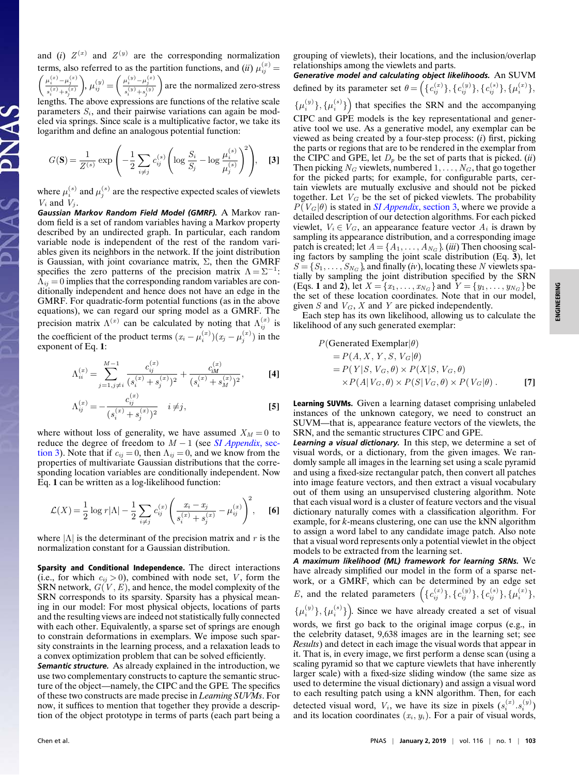and (*i*)  $Z^{(x)}$  and  $Z^{(y)}$  are the corresponding normalization terms, also referred to as the partition functions, and (*ii*)  $\mu_{ij}^{(x)}$  =  $\left( \mu_i^{(x)} - \mu_j^{(x)} \right)$  $s_i^{(x)} + s_j^{(x)}$ ),  $\mu_{ij}^{(y)} = \begin{pmatrix} \frac{\mu_i^{(y)} - \mu_j^{(x)}}{y} \\ \frac{\mu_j^{(y)} - y}{y} \end{pmatrix}$  $s_i^{(y)} + s_j^{(y)}$ are the normalized zero-stress

lengths. The above expressions are functions of the relative scale parameters  $S_i$ , and their pairwise variations can again be modeled via springs. Since scale is a multiplicative factor, we take its logarithm and define an analogous potential function:

$$
G(\mathbf{S}) = \frac{1}{Z^{(s)}} \exp\left(-\frac{1}{2} \sum_{i \neq j} c_{ij}^{(s)} \left( \log \frac{S_i}{S_j} - \log \frac{\mu_i^{(s)}}{\mu_j^{(s)}} \right)^2 \right), \quad [3]
$$

where  $\mu_i^{(s)}$  and  $\mu_j^{(s)}$  are the respective expected scales of viewlets  $V_i$  and  $V_j$ .

*Gaussian Markov Random Field Model (GMRF).* A Markov random field is a set of random variables having a Markov property described by an undirected graph. In particular, each random variable node is independent of the rest of the random variables given its neighbors in the network. If the joint distribution is Gaussian, with joint covariance matrix,  $\Sigma$ , then the GMRF specifies the zero patterns of the precision matrix  $\Lambda = \Sigma^{-1}$ :  $\Lambda_{ij} = 0$  implies that the corresponding random variables are conditionally independent and hence does not have an edge in the GMRF. For quadratic-form potential functions (as in the above equations), we can regard our spring model as a GMRF. The precision matrix  $\Lambda^{(x)}$  can be calculated by noting that  $\Lambda_{ij}^{(x)}$  is the coefficient of the product terms  $(x_i - \mu_i^{(x)})(x_j - \mu_j^{(x)})$  in the exponent of Eq. **1**:

$$
\Lambda_{ii}^{(x)} = \sum_{j=1, j \neq i}^{M-1} \frac{c_{ij}^{(x)}}{(s_i^{(x)} + s_j^{(x)})^2} + \frac{c_{iM}^{(x)}}{(s_i^{(x)} + s_M^{(x)})^2},
$$
 [4]

$$
\Lambda_{ij}^{(x)} = -\frac{c_{ij}^{(x)}}{(s_i^{(x)} + s_j^{(x)})^2} \quad i \neq j,
$$
 [5]

where without loss of generality, we have assumed  $X_M = 0$  to reduce the degree of freedom to M − 1 (see *[SI Appendix](https://www.pnas.org/lookup/suppl/doi:10.1073/pnas.1802103115/-/DCSupplemental)*, sec[tion 3\)](https://www.pnas.org/lookup/suppl/doi:10.1073/pnas.1802103115/-/DCSupplemental). Note that if  $c_{ij} = 0$ , then  $\Lambda_{ij} = 0$ , and we know from the properties of multivariate Gaussian distributions that the corresponding location variables are conditionally independent. Now Eq. **1** can be written as a log-likelihood function:

$$
\mathcal{L}(X) = \frac{1}{2} \log r |\Lambda| - \frac{1}{2} \sum_{i \neq j} c_{ij}^{(x)} \left( \frac{x_i - x_j}{s_i^{(x)} + s_j^{(x)}} - \mu_{ij}^{(x)} \right)^2, \quad [6]
$$

where  $|\Lambda|$  is the determinant of the precision matrix and r is the normalization constant for a Gaussian distribution.

Sparsity and Conditional Independence. The direct interactions (i.e., for which  $c_{ij} > 0$ ), combined with node set, V, form the SRN network,  $G(V, E)$ , and hence, the model complexity of the SRN corresponds to its sparsity. Sparsity has a physical meaning in our model: For most physical objects, locations of parts and the resulting views are indeed not statistically fully connected with each other. Equivalently, a sparse set of springs are enough to constrain deformations in exemplars. We impose such sparsity constraints in the learning process, and a relaxation leads to a convex optimization problem that can be solved efficiently.

*Semantic structure.* As already explained in the introduction, we use two complementary constructs to capture the semantic structure of the object—namely, the CIPC and the GPE*.* The specifics of these two constructs are made precise in *Learning SUVMs*. For now, it suffices to mention that together they provide a description of the object prototype in terms of parts (each part being a

grouping of viewlets), their locations, and the inclusion/overlap relationships among the viewlets and parts.

**Generative model and calculating object likelihoods.** An SUVM defined by its parameter set 
$$
\theta = \left\{ \{c_{ij}^{(x)}\}, \{c_{ij}^{(y)}\}, \{c_{ij}^{(s)}\}, \{\mu_i^{(x)}\}, \{\mu_i^{(x)}\}, \{\mu_i^{(y)}\}, \{\mu_i^{(z)}\} \right\}
$$
 that specifies the SRN and the accompanying CIPC and GPE models is the key representational and generative tool we use. As a generative model, any exemplar can be viewed as being created by a four-step process: (i) first, picking the parts or regions that are to be rendered in the exemplar from the CIPC and GPE, let  $D_p$  be the set of parts that is picked. (ii) Then picking  $N_G$  viewlets, numbered 1, ...,  $N_G$ , that go together for the picked parts; for example, for configurable parts, certain viewlets are mutually exclusive and should not be picked together. Let  $V_G$  be the set of picked viewlets. The probability  $P(V_G|\theta)$  is stated in *SI Appendix*, section 3, where we provide a detailed description of our detection algorithms. For each picked viewlet,  $V_i \in V_G$ , an appearance feature vector  $A_i$  is drawn by sampling its appearance distribution, and a corresponding image patch is created; let  $A = \{A_1, ..., A_{N_G}\}$  (iii) Then choosing scaling factors by sampling the joint scale distribution (Eq. 3), let  $S = \{S_1, ..., S_{N_G}\}$  and finally (*iv*), locating these *N* viewlets spatially by sampling the joint distribution specified by the SRN (Eqs. 1 and 2), let  $X = \{x_1, ..., x_{N_G}\}$  and  $Y = \{y_1, ..., y_{N_G}\}$  be the set of these location coordinates. Note that in our model, given *S* and  $V_G$ , *X* and *Y* are picked independently.

Each step has its own likelihood, allowing us to calculate the likelihood of any such generated exemplar:

$$
P(\text{Generaled Exemplar}|\theta) = P(A, X, Y, S, V_G|\theta) = P(Y|S, V_G, \theta) \times P(X|S, V_G, \theta) \times P(A|V_G, \theta) \times P(S|V_G, \theta) \times P(V_G|\theta).
$$
 [7]

Learning SUVMs. Given a learning dataset comprising unlabeled instances of the unknown category, we need to construct an SUVM—that is, appearance feature vectors of the viewlets, the SRN, and the semantic structures CIPC and GPE.

*Learning a visual dictionary.* In this step, we determine a set of visual words, or a dictionary, from the given images. We randomly sample all images in the learning set using a scale pyramid and using a fixed-size rectangular patch, then convert all patches into image feature vectors, and then extract a visual vocabulary out of them using an unsupervised clustering algorithm. Note that each visual word is a cluster of feature vectors and the visual dictionary naturally comes with a classification algorithm. For example, for *k*-means clustering, one can use the kNN algorithm to assign a word label to any candidate image patch. Also note that a visual word represents only a potential viewlet in the object models to be extracted from the learning set.

*A maximum likelihood (ML) framework for learning SRNs.* We have already simplified our model in the form of a sparse network, or a GMRF, which can be determined by an edge set E, and the related parameters  $\left(\{c_{ij}^{(x)}\}, \{c_{ij}^{(y)}\}, \{c_{ij}^{(s)}\}, \{\mu_i^{(x)}\},\{\mu_i^{(x)}\}\right)$ 

 $\{\mu_i^{(y)}\}, \{\mu_i^{(s)}\}\right)$ . Since we have already created a set of visual words, we first go back to the original image corpus (e.g., in the celebrity dataset, 9,638 images are in the learning set; see *Results*) and detect in each image the visual words that appear in it. That is, in every image, we first perform a dense scan (using a scaling pyramid so that we capture viewlets that have inherently larger scale) with a fixed-size sliding window (the same size as used to determine the visual dictionary) and assign a visual word to each resulting patch using a kNN algorithm. Then, for each detected visual word,  $V_i$ , we have its size in pixels  $(s_i^{(x)} \cdot s_i^{(y)})$ and its location coordinates  $(x_i, y_i)$ . For a pair of visual words,

 $\overline{a}$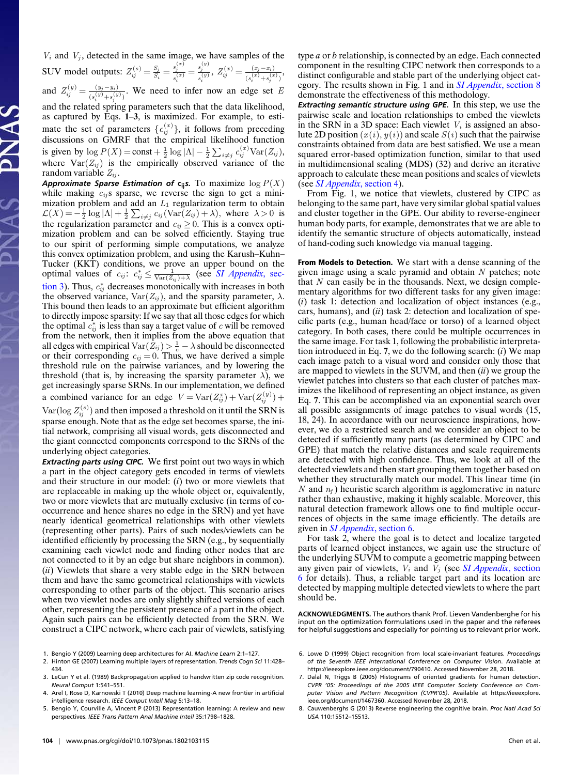$V_i$  and  $V_j$ , detected in the same image, we have samples of the

SUV model outputs:  $Z_{ij}^{(s)} = \frac{S_j}{S_i}$  $\frac{S_j}{S_i} = \frac{s_j^{(x)}}{s^{(x)}}$  $\frac{s_j^{(x)}}{s_i^{(x)}} = \frac{s_j^{(y)}}{s_i^{(y)}}$  $\frac{s_j^{(s)}}{s_i^{(y)}},\ Z_{ij}^{(x)} = \frac{(x_j - x_i)}{(s_i^{(x)} + s_j^{(x)})}$  $\frac{(x_j - x_i)}{(s_i^{(x)} + s_j^{(x)})},$ and  $Z_{ij}^{(y)} = \frac{(y_j - y_i)}{\sqrt{y_i(y) + y_j(y)}}$  $\frac{(y_j - y_i)}{(s_i^{(y)} + s_j^{(y)})}$ . We need to infer now an edge set E and the related spring parameters such that the data likelihood, as captured by Eqs. **1**–**3**, is maximized. For example, to estimate the set of parameters  $\{c_{ij}^{(x)}\}$ , it follows from preceding discussions on GMRF that the empirical likelihood function is given by  $\log P(X) = \text{const} + \frac{1}{2} \log |\Lambda| - \frac{1}{2} \sum_{i \neq j} c_{ij}^{(x)} \text{Var}(Z_{ij}),$ where  $Var(Z_{ij})$  is the empirically observed variance of the random variable  $Z_{ij}$ .

**Approximate Sparse Estimation of**  $c_{ij}$ **s.** To maximize  $\log P(X)$ while making  $c_{ij}$ s sparse, we reverse the sign to get a minimization problem and add an  $L_1$  regularization term to obtain  $\mathcal{L}(X) = -\frac{1}{2}\log|\Lambda| + \frac{1}{2}\sum_{i \neq j} c_{ij}(\text{Var}(Z_{ij}) + \lambda)$ , where  $\lambda > 0$  is the regularization parameter and  $c_{ij} \geq 0$ . This is a convex optimization problem and can be solved efficiently. Staying true to our spirit of performing simple computations, we analyze this convex optimization problem, and using the Karush–Kuhn– Tucker (KKT) conditions, we prove an upper bound on the optimal values of  $c_{ij}$ :  $c_{ij}^* \leq \frac{1}{\text{Var}(Z_{ij}) + \lambda}$  (see *[SI Appendix](https://www.pnas.org/lookup/suppl/doi:10.1073/pnas.1802103115/-/DCSupplemental)*, sec[tion 3\)](https://www.pnas.org/lookup/suppl/doi:10.1073/pnas.1802103115/-/DCSupplemental). Thus,  $c_{ij}^*$  decreases monotonically with increases in both the observed variance,  $Var(Z_{ij})$ , and the sparsity parameter,  $\lambda$ . This bound then leads to an approximate but efficient algorithm to directly impose sparsity: If we say that all those edges for which the optimal  $c_{ij}^*$  is less than say a target value of c will be removed from the network, then it implies from the above equation that all edges with empirical  $\text{Var}(\hat{Z}_{ij}) > \frac{1}{c} - \lambda$  should be disconnected or their corresponding  $c_{ij} = 0$ . Thus, we have derived a simple threshold rule on the pairwise variances, and by lowering the threshold (that is, by increasing the sparsity parameter  $\lambda$ ), we get increasingly sparse SRNs. In our implementation, we defined a combined variance for an edge  $V = \text{Var}(Z_{ij}^x) + \text{Var}(Z_{ij}^{(y)}) +$  $\text{Var}(\log Z_{ij}^{(s)})$  and then imposed a threshold on it until the SRN is sparse enough. Note that as the edge set becomes sparse, the initial network, comprising all visual words, gets disconnected and the giant connected components correspond to the SRNs of the

*Extracting parts using CIPC.* We first point out two ways in which a part in the object category gets encoded in terms of viewlets and their structure in our model: (*i*) two or more viewlets that are replaceable in making up the whole object or, equivalently, two or more viewlets that are mutually exclusive (in terms of cooccurrence and hence shares no edge in the SRN) and yet have nearly identical geometrical relationships with other viewlets (representing other parts). Pairs of such nodes/viewlets can be identified efficiently by processing the SRN (e.g., by sequentially examining each viewlet node and finding other nodes that are not connected to it by an edge but share neighbors in common). (*ii*) Viewlets that share a very stable edge in the SRN between them and have the same geometrical relationships with viewlets corresponding to other parts of the object. This scenario arises when two viewlet nodes are only slightly shifted versions of each other, representing the persistent presence of a part in the object. Again such pairs can be efficiently detected from the SRN. We construct a CIPC network, where each pair of viewlets, satisfying type *a* or *b* relationship, is connected by an edge. Each connected component in the resulting CIPC network then corresponds to a distinct configurable and stable part of the underlying object category. The results shown in Fig. 1 and in *[SI Appendix](https://www.pnas.org/lookup/suppl/doi:10.1073/pnas.1802103115/-/DCSupplemental)*, section 8 demonstrate the effectiveness of this methodology.

*Extracting semantic structure using GPE.* In this step, we use the pairwise scale and location relationships to embed the viewlets in the SRN in a 3D space: Each viewlet  $V_i$  is assigned an absolute 2D position  $(x(i), y(i))$  and scale  $S(i)$  such that the pairwise constraints obtained from data are best satisfied. We use a mean squared error-based optimization function, similar to that used in multidimensional scaling (MDS) (32) and derive an iterative approach to calculate these mean positions and scales of viewlets (see *[SI Appendix](https://www.pnas.org/lookup/suppl/doi:10.1073/pnas.1802103115/-/DCSupplemental)*, section 4).

From Fig. 1, we notice that viewlets, clustered by CIPC as belonging to the same part, have very similar global spatial values and cluster together in the GPE. Our ability to reverse-engineer human body parts, for example, demonstrates that we are able to identify the semantic structure of objects automatically, instead of hand-coding such knowledge via manual tagging.

From Models to Detection. We start with a dense scanning of the given image using a scale pyramid and obtain  $N$  patches; note that  $N$  can easily be in the thousands. Next, we design complementary algorithms for two different tasks for any given image: (*i*) task 1: detection and localization of object instances (e.g., cars, humans), and (*ii*) task 2: detection and localization of specific parts (e.g., human head/face or torso) of a learned object category. In both cases, there could be multiple occurrences in the same image. For task 1, following the probabilistic interpretation introduced in Eq. **7**, we do the following search: (*i*) We map each image patch to a visual word and consider only those that are mapped to viewlets in the SUVM, and then (*ii*) we group the viewlet patches into clusters so that each cluster of patches maximizes the likelihood of representing an object instance, as given Eq. **7**. This can be accomplished via an exponential search over all possible assignments of image patches to visual words (15, 18, 24). In accordance with our neuroscience inspirations, however, we do a restricted search and we consider an object to be detected if sufficiently many parts (as determined by CIPC and GPE) that match the relative distances and scale requirements are detected with high confidence. Thus, we look at all of the detected viewlets and then start grouping them together based on whether they structurally match our model. This linear time (in N and  $n_f$ ) heuristic search algorithm is agglomerative in nature rather than exhaustive, making it highly scalable. Moreover, this natural detection framework allows one to find multiple occurrences of objects in the same image efficiently. The details are given in *[SI Appendix](https://www.pnas.org/lookup/suppl/doi:10.1073/pnas.1802103115/-/DCSupplemental)*, section 6.

For task 2, where the goal is to detect and localize targeted parts of learned object instances, we again use the structure of the underlying SUVM to compute a geometric mapping between any given pair of viewlets,  $V_i$  and  $V_j$  (see *[SI Appendix](https://www.pnas.org/lookup/suppl/doi:10.1073/pnas.1802103115/-/DCSupplemental)*, section [6](https://www.pnas.org/lookup/suppl/doi:10.1073/pnas.1802103115/-/DCSupplemental) for details). Thus, a reliable target part and its location are detected by mapping multiple detected viewlets to where the part should be.

**ACKNOWLEDGMENTS.** The authors thank Prof. Lieven Vandenberghe for his input on the optimization formulations used in the paper and the referees for helpful suggestions and especially for pointing us to relevant prior work.

- 6. Lowe D (1999) Object recognition from local scale-invariant features. *Proceedings of the Seventh IEEE International Conference on Computer Vision*. Available at [https://ieeexplore.ieee.org/document/790410.](https://ieeexplore.ieee.org/document/790410) Accessed November 28, 2018.
- 7. Dalal N, Triggs B (2005) Histograms of oriented gradients for human detection. *CVPR '05: Proceedings of the 2005 IEEE Computer Society Conference on Computer Vision and Pattern Recognition (CVPR'05)*. Available at [https://ieeexplore.](https://ieeexplore.ieee.org/document/1467360) [ieee.org/document/1467360.](https://ieeexplore.ieee.org/document/1467360) Accessed November 28, 2018.

underlying object categories.

<sup>1.</sup> Bengio Y (2009) Learning deep architectures for AI. *Machine Learn* 2:1–127.

<sup>2.</sup> Hinton GE (2007) Learning multiple layers of representation. *Trends Cogn Sci* 11:428– 434.

<sup>3.</sup> LeCun Y et al. (1989) Backpropagation applied to handwritten zip code recognition. *Neural Comput* 1:541–551.

<sup>4.</sup> Arel I, Rose D, Karnowski T (2010) Deep machine learning-A new frontier in artificial intelligence research. *IEEE Comput Intell Mag* 5:13–18.

<sup>5.</sup> Bengio Y, Courville A, Vincent P (2013) Representation learning: A review and new perspectives. *IEEE Trans Pattern Anal Machine Intell* 35:1798–1828.

<sup>8.</sup> Cauwenberghs G (2013) Reverse engineering the cognitive brain. *Proc Natl Acad Sci USA* 110:15512–15513.